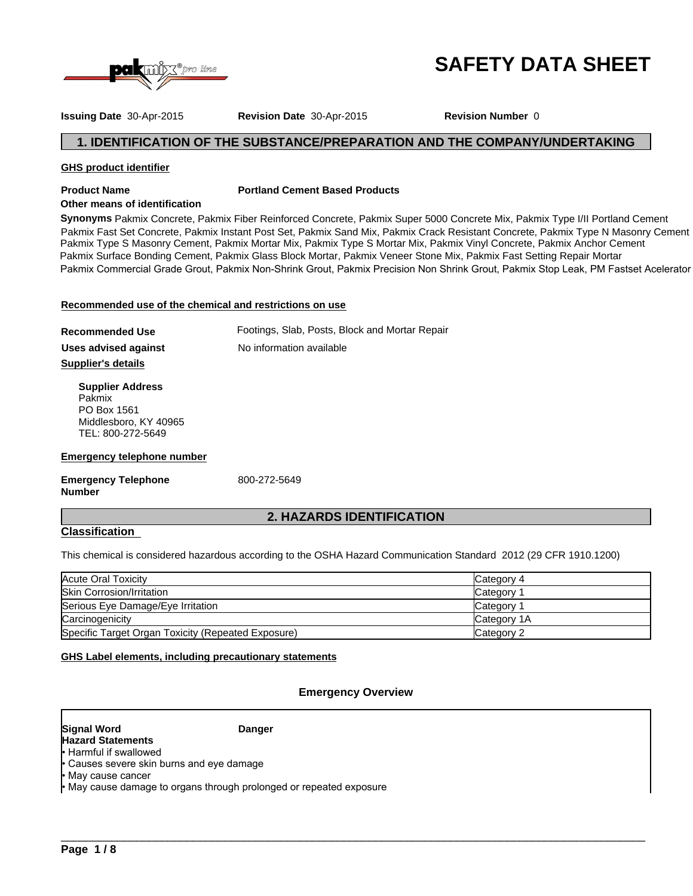

# **SAFETY DATA SHEET**

**Issuing Date** 30-Apr-2015 **Revision Date** 30-Apr-2015 **Revision Number** 0

# **1. IDENTIFICATION OF THE SUBSTANCE/PREPARATION AND THE COMPANY/UNDERTAKING**

# **GHS product identifier**

# **Product Name Portland Cement Based Products**

# **Other means of identification**

**Synonyms** Pakmix Concrete, Pakmix Fiber Reinforced Concrete, Pakmix Super 5000 Concrete Mix, Pakmix Type I/II Portland Cement Pakmix Fast Set Concrete, Pakmix Instant Post Set, Pakmix Sand Mix, Pakmix Crack Resistant Concrete, Pakmix Type N Masonry Cement Pakmix Surface Bonding Cement, Pakmix Glass Block Mortar, Pakmix Veneer Stone Mix, Pakmix Fast Setting Repair Mortar Pakmix Type S Masonry Cement, Pakmix Mortar Mix, Pakmix Type S Mortar Mix, Pakmix Vinyl Concrete, Pakmix Anchor Cement Pakmix Commercial Grade Grout, Pakmix Non-Shrink Grout, Pakmix Precision Non Shrink Grout, Pakmix Stop Leak, PM Fastset Acelerator

# **Recommended use of the chemical and restrictions on use**

| <b>Recommended Use</b>            | Footings, Slab, Posts, Block and Mortar Repair |
|-----------------------------------|------------------------------------------------|
| Uses advised against              | No information available                       |
| Supplier's details                |                                                |
| <b>Supplier Address</b><br>Pakmix |                                                |

Pakmix PO Box 1561 Middlesboro, KY 40965 TEL: 800-272-5649

# **Emergency telephone number**

**Emergency Telephone Number**

800-272-5649

# **2. HAZARDS IDENTIFICATION**

# **Classification**

This chemical is considered hazardous according to the OSHA Hazard Communication Standard 2012 (29 CFR 1910.1200)

| Acute Oral Toxicity                                | Category 4  |
|----------------------------------------------------|-------------|
| <b>Skin Corrosion/Irritation</b>                   | Category    |
| Serious Eye Damage/Eye Irritation                  | Category 1  |
| Carcinogenicity                                    | Category 1A |
| Specific Target Organ Toxicity (Repeated Exposure) | Category 2  |

# **GHS Label elements, including precautionary statements**

# **Emergency Overview**

 $\_$  ,  $\_$  ,  $\_$  ,  $\_$  ,  $\_$  ,  $\_$  ,  $\_$  ,  $\_$  ,  $\_$  ,  $\_$  ,  $\_$  ,  $\_$  ,  $\_$  ,  $\_$  ,  $\_$  ,  $\_$  ,  $\_$  ,  $\_$  ,  $\_$  ,  $\_$  ,  $\_$  ,  $\_$  ,  $\_$  ,  $\_$  ,  $\_$  ,  $\_$  ,  $\_$  ,  $\_$  ,  $\_$  ,  $\_$  ,  $\_$  ,  $\_$  ,  $\_$  ,  $\_$  ,  $\_$  ,  $\_$  ,  $\_$  ,

#### **Signal Word Hazard Statements**

**Danger**

- Harmful if swallowed
- Causes severe skin burns and eye damage
- May cause cancer

• May cause damage to organs through prolonged or repeated exposure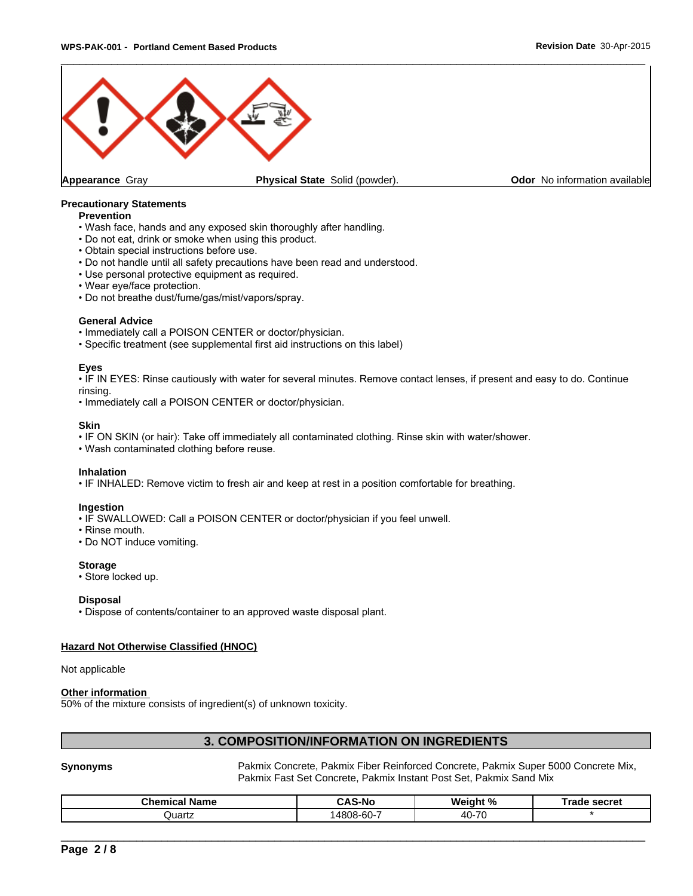

## **Precautionary Statements**

#### **Prevention**

- Wash face, hands and any exposed skin thoroughly after handling.
- Do not eat, drink or smoke when using this product.
- Obtain special instructions before use.
- Do not handle until all safety precautions have been read and understood.
- Use personal protective equipment as required.
- Wear eye/face protection.
- Do not breathe dust/fume/gas/mist/vapors/spray.

#### **General Advice**

- Immediately call a POISON CENTER or doctor/physician.
- Specific treatment (see supplemental first aid instructions on this label)

#### **Eyes**

• IF IN EYES: Rinse cautiously with water for several minutes. Remove contact lenses, if present and easy to do. Continue rinsing.

• Immediately call a POISON CENTER or doctor/physician.

#### **Skin**

- IF ON SKIN (or hair): Take off immediately all contaminated clothing. Rinse skin with water/shower.
- Wash contaminated clothing before reuse.

#### **Inhalation**

• IF INHALED: Remove victim to fresh air and keep at rest in a position comfortable for breathing.

#### **Ingestion**

- IF SWALLOWED: Call a POISON CENTER or doctor/physician if you feel unwell.
- Rinse mouth.
- Do NOT induce vomiting.

#### **Storage**

• Store locked up.

#### **Disposal**

• Dispose of contents/container to an approved waste disposal plant.

# **Hazard Not Otherwise Classified (HNOC)**

Not applicable

#### **Other information**

50% of the mixture consists of ingredient(s) of unknown toxicity.

# **3. COMPOSITION/INFORMATION ON INGREDIENTS**

**Synonyms** Pakmix Concrete, Pakmix Fiber Reinforced Concrete, Pakmix Super 5000 Concrete Mix, Pakmix Fast Set Concrete, Pakmix Instant Post Set, Pakmix Sand Mix

 $\overline{\phantom{a}}$  ,  $\overline{\phantom{a}}$  ,  $\overline{\phantom{a}}$  ,  $\overline{\phantom{a}}$  ,  $\overline{\phantom{a}}$  ,  $\overline{\phantom{a}}$  ,  $\overline{\phantom{a}}$  ,  $\overline{\phantom{a}}$  ,  $\overline{\phantom{a}}$  ,  $\overline{\phantom{a}}$  ,  $\overline{\phantom{a}}$  ,  $\overline{\phantom{a}}$  ,  $\overline{\phantom{a}}$  ,  $\overline{\phantom{a}}$  ,  $\overline{\phantom{a}}$  ,  $\overline{\phantom{a}}$ 

| Chemical<br>ਾਂ Name | л,<br>-N0<br>-              | $\frac{9}{6}$<br>W۵<br>∵an⊾ | secret<br><b>Tade</b> |
|---------------------|-----------------------------|-----------------------------|-----------------------|
| Quartz              | $\sim$ $\sim$<br>14808-60-1 | 70<br>40 <sup>5</sup>       |                       |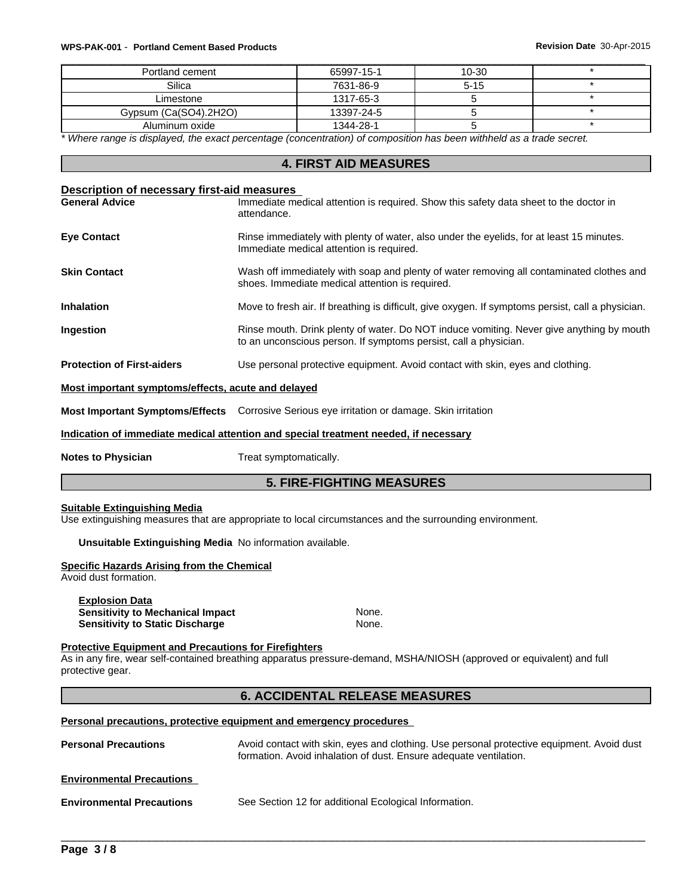#### \_\_\_\_\_\_\_\_\_\_\_\_\_\_\_\_\_\_\_\_\_\_\_\_\_\_\_\_\_\_\_\_\_\_\_\_\_\_\_\_\_\_\_\_\_\_\_\_\_\_\_\_\_\_\_\_\_\_\_\_\_\_\_\_\_\_\_\_\_\_\_\_\_\_\_\_\_\_\_\_\_\_\_\_\_\_\_\_\_\_\_\_\_ **WPS-PAK-001** - **Portland Cement Based Products Revision Date** 30-Apr-2015

| Portland cement       | 65997-15-1 | $10 - 30$ |  |
|-----------------------|------------|-----------|--|
| Silica                | 7631-86-9  | $5 - 15$  |  |
| Limestone             | 1317-65-3  |           |  |
| Gypsum (Ca(SO4).2H2O) | 13397-24-5 |           |  |
| Aluminum oxide        | 1344-28-1  |           |  |

*\* Where range is displayed, the exact percentage (concentration) of composition has been withheld as a trade secret.*

# **4. FIRST AID MEASURES**

# **Description of necessary first-aid measures**  Immediate medical attention is required. Show this safety data sheet to the doctor in attendance. **Eye Contact Exercise 20 Rinse immediately with plenty of water, also under the eyelids, for at least 15 minutes.** Immediate medical attention is required. **Skin Contact** With Soap and plenty of water removing all contaminated clothes and plenty of water removing all contaminated clothes and shoes. Immediate medical attention is required. **Inhalation** Move to fresh air. If breathing is difficult, give oxygen. If symptoms persist, call a physician. **Ingestion Rinse mouth. Drink plenty of water. Do NOT induce vomiting. Never give anything by mouth** to an unconscious person. If symptoms persist, call a physician. **Protection of First-aiders** Use personal protective equipment. Avoid contact with skin, eyes and clothing. **Most important symptoms/effects, acute and delayed Most Important Symptoms/Effects** Corrosive Serious eye irritation or damage. Skin irritation

### **Indication of immediate medical attention and special treatment needed, if necessary**

**Notes to Physician** Treat symptomatically.

# **5. FIRE-FIGHTING MEASURES**

#### **Suitable Extinguishing Media**

Use extinguishing measures that are appropriate to local circumstances and the surrounding environment.

#### **Unsuitable Extinguishing Media** No information available.

# **Specific Hazards Arising from the Chemical**

Avoid dust formation.

**Explosion Data Sensitivity to Mechanical Impact None.** None. **Sensitivity to Static Discharge Mone.** None.

#### **Protective Equipment and Precautions for Firefighters**

As in any fire, wear self-contained breathing apparatus pressure-demand, MSHA/NIOSH (approved or equivalent) and full protective gear.

# **6. ACCIDENTAL RELEASE MEASURES**

#### **Personal precautions, protective equipment and emergency procedures**

| Avoid contact with skin, eyes and clothing. Use personal protective equipment. Avoid dust<br>formation. Avoid inhalation of dust. Ensure adequate ventilation. |
|----------------------------------------------------------------------------------------------------------------------------------------------------------------|
|                                                                                                                                                                |
| See Section 12 for additional Ecological Information.                                                                                                          |
|                                                                                                                                                                |
|                                                                                                                                                                |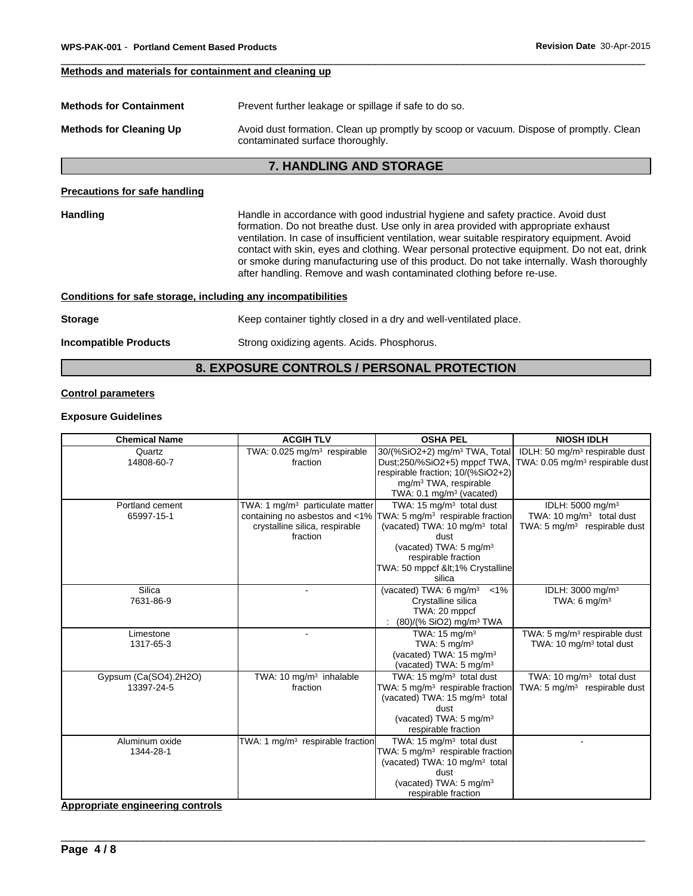# **Methods and materials for containment and cleaning up**

| Prevent further leakage or spillage if safe to do so.<br><b>Methods for Containment</b>                                                                      |                                                                                                                                                                                                                                                                                                                                                                        |  |
|--------------------------------------------------------------------------------------------------------------------------------------------------------------|------------------------------------------------------------------------------------------------------------------------------------------------------------------------------------------------------------------------------------------------------------------------------------------------------------------------------------------------------------------------|--|
| <b>Methods for Cleaning Up</b><br>Avoid dust formation. Clean up promptly by scoop or vacuum. Dispose of promptly. Clean<br>contaminated surface thoroughly. |                                                                                                                                                                                                                                                                                                                                                                        |  |
|                                                                                                                                                              | <b>7. HANDLING AND STORAGE</b>                                                                                                                                                                                                                                                                                                                                         |  |
| <b>Precautions for safe handling</b>                                                                                                                         |                                                                                                                                                                                                                                                                                                                                                                        |  |
| <b>Handling</b>                                                                                                                                              | Handle in accordance with good industrial hygiene and safety practice. Avoid dust<br>formation. Do not breathe dust. Use only in area provided with appropriate exhaust<br>ventilation. In case of insufficient ventilation, wear suitable respiratory equipment. Avoid<br>contact with skin, eyes and clothing. Wear personal protective equipment. Do not eat, drink |  |

or smoke during manufacturing use of this product. Do not take internally. Wash thoroughly

after handling. Remove and wash contaminated clothing before re-use.

# **Conditions for safe storage, including any incompatibilities**

| <b>Storage</b>               | Keep container tightly closed in a dry and well-ventilated place. |
|------------------------------|-------------------------------------------------------------------|
| <b>Incompatible Products</b> | Strong oxidizing agents. Acids. Phosphorus.                       |

# **8. EXPOSURE CONTROLS / PERSONAL PROTECTION**

# **Control parameters**

# **Exposure Guidelines**

| <b>Chemical Name</b>                | <b>ACGIH TLV</b>                                                                          | <b>OSHA PEL</b>                                                                                                                                                                                                                                                                 | <b>NIOSH IDLH</b>                                                                                     |
|-------------------------------------|-------------------------------------------------------------------------------------------|---------------------------------------------------------------------------------------------------------------------------------------------------------------------------------------------------------------------------------------------------------------------------------|-------------------------------------------------------------------------------------------------------|
| Quartz<br>14808-60-7                | TWA: $0.025$ mg/m <sup>3</sup> respirable<br>fraction                                     | 30/(%SiO2+2) mg/m <sup>3</sup> TWA, Total<br>Dust;250/%SiO2+5) mppcf TWA<br>respirable fraction; 10/(%SiO2+2)<br>mg/m <sup>3</sup> TWA, respirable<br>TWA: 0.1 mg/m <sup>3</sup> (vacated)                                                                                      | IDLH: 50 mg/m <sup>3</sup> respirable dust<br>TWA: 0.05 mg/m <sup>3</sup> respirable dust             |
| Portland cement<br>65997-15-1       | TWA: 1 mg/m <sup>3</sup> particulate matter<br>crystalline silica, respirable<br>fraction | TWA: $15 \text{ mg/m}^3$ total dust<br>containing no asbestos and <1% TWA: 5 mg/m <sup>3</sup> respirable fraction<br>(vacated) TWA: 10 mg/m <sup>3</sup> total<br>dust<br>(vacated) TWA: 5 mg/m <sup>3</sup><br>respirable fraction<br>TWA: 50 mppcf <1% Crystalline<br>silica | IDLH: 5000 mg/m <sup>3</sup><br>TWA: 10 $mq/m3$ total dust<br>TWA: $5 \text{ mg/m}^3$ respirable dust |
| Silica<br>7631-86-9                 | $\sim$                                                                                    | (vacated) TWA: 6 mg/m <sup>3</sup><br>$< 1\%$<br>Crystalline silica<br>TWA: 20 mppcf<br>(80)/(% SiO2) mg/m <sup>3</sup> TWA                                                                                                                                                     | IDLH: 3000 mg/m <sup>3</sup><br>TWA: $6 \text{ mg/m}^3$                                               |
| Limestone<br>1317-65-3              |                                                                                           | TWA: $15 \text{ mg/m}^3$<br>TWA: $5 \text{ mg/m}^3$<br>(vacated) TWA: 15 mg/m <sup>3</sup><br>(vacated) TWA: 5 mg/m <sup>3</sup>                                                                                                                                                | TWA: 5 mg/m <sup>3</sup> respirable dust<br>TWA: 10 mg/m <sup>3</sup> total dust                      |
| Gypsum (Ca(SO4).2H2O)<br>13397-24-5 | TWA: 10 mg/m <sup>3</sup> inhalable<br>fraction                                           | TWA: $15 \text{ mg/m}^3$ total dust<br>TWA: 5 mg/m <sup>3</sup> respirable fraction<br>(vacated) TWA: 15 mg/m <sup>3</sup> total<br>dust<br>(vacated) TWA: 5 mg/m <sup>3</sup><br>respirable fraction                                                                           | TWA: 10 mg/m <sup>3</sup> total dust<br>TWA: $5 \text{ mg/m}^3$ respirable dust                       |
| Aluminum oxide<br>1344-28-1         | TWA: 1 $mg/m3$ respirable fraction                                                        | TWA: 15 $mg/m3$ total dust<br>TWA: 5 mg/m <sup>3</sup> respirable fraction<br>(vacated) TWA: 10 mg/m <sup>3</sup> total<br>dust<br>(vacated) TWA: 5 mg/m <sup>3</sup><br>respirable fraction                                                                                    |                                                                                                       |

 $\overline{\phantom{a}}$  ,  $\overline{\phantom{a}}$  ,  $\overline{\phantom{a}}$  ,  $\overline{\phantom{a}}$  ,  $\overline{\phantom{a}}$  ,  $\overline{\phantom{a}}$  ,  $\overline{\phantom{a}}$  ,  $\overline{\phantom{a}}$  ,  $\overline{\phantom{a}}$  ,  $\overline{\phantom{a}}$  ,  $\overline{\phantom{a}}$  ,  $\overline{\phantom{a}}$  ,  $\overline{\phantom{a}}$  ,  $\overline{\phantom{a}}$  ,  $\overline{\phantom{a}}$  ,  $\overline{\phantom{a}}$ 

**Appropriate engineering controls**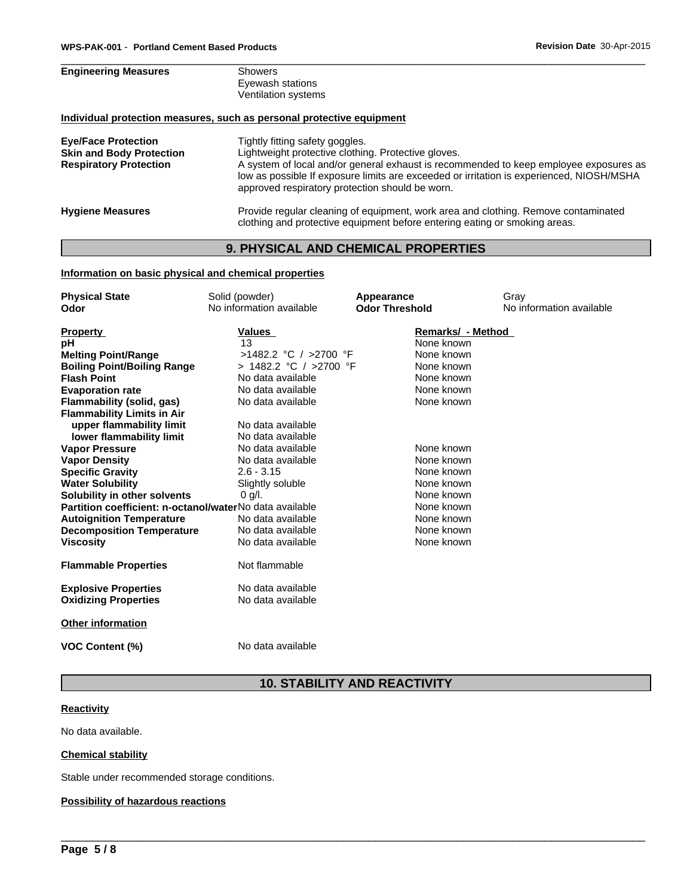| <b>Engineering Measures</b>                                                                    | Showers<br>Eyewash stations<br>Ventilation systems                                                                                                                                                                                                                                                                             |  |
|------------------------------------------------------------------------------------------------|--------------------------------------------------------------------------------------------------------------------------------------------------------------------------------------------------------------------------------------------------------------------------------------------------------------------------------|--|
|                                                                                                | Individual protection measures, such as personal protective equipment                                                                                                                                                                                                                                                          |  |
| <b>Eye/Face Protection</b><br><b>Skin and Body Protection</b><br><b>Respiratory Protection</b> | Tightly fitting safety goggles.<br>Lightweight protective clothing. Protective gloves.<br>A system of local and/or general exhaust is recommended to keep employee exposures as<br>low as possible If exposure limits are exceeded or irritation is experienced, NIOSH/MSHA<br>approved respiratory protection should be worn. |  |
| <b>Hygiene Measures</b>                                                                        | Provide regular cleaning of equipment, work area and clothing. Remove contaminated<br>clothing and protective equipment before entering eating or smoking areas.                                                                                                                                                               |  |

# **9. PHYSICAL AND CHEMICAL PROPERTIES**

# **Information on basic physical and chemical properties**

| <b>Physical State</b>                                   | Solid (powder)           | Appearance            | Gray                     |
|---------------------------------------------------------|--------------------------|-----------------------|--------------------------|
| Odor                                                    | No information available | <b>Odor Threshold</b> | No information available |
| <b>Property</b>                                         | Values                   | Remarks/ - Method     |                          |
| рH                                                      | 13                       | None known            |                          |
| <b>Melting Point/Range</b>                              | >1482.2 °C / >2700 °F    | None known            |                          |
| <b>Boiling Point/Boiling Range</b>                      | > 1482.2 °C / >2700 °F   | None known            |                          |
| <b>Flash Point</b>                                      | No data available        | None known            |                          |
| <b>Evaporation rate</b>                                 | No data available        | None known            |                          |
| Flammability (solid, gas)                               | No data available        | None known            |                          |
| <b>Flammability Limits in Air</b>                       |                          |                       |                          |
| upper flammability limit                                | No data available        |                       |                          |
| lower flammability limit                                | No data available        |                       |                          |
| <b>Vapor Pressure</b>                                   | No data available        | None known            |                          |
| <b>Vapor Density</b>                                    | No data available        | None known            |                          |
| <b>Specific Gravity</b>                                 | $2.6 - 3.15$             | None known            |                          |
| <b>Water Solubility</b>                                 | Slightly soluble         | None known            |                          |
| Solubility in other solvents                            | $0$ g/l.                 | None known            |                          |
| Partition coefficient: n-octanol/waterNo data available |                          | None known            |                          |
| <b>Autoignition Temperature</b>                         | No data available        | None known            |                          |
| <b>Decomposition Temperature</b>                        | No data available        | None known            |                          |
| <b>Viscosity</b>                                        | No data available        | None known            |                          |
| <b>Flammable Properties</b>                             | Not flammable            |                       |                          |
| <b>Explosive Properties</b>                             | No data available        |                       |                          |
| <b>Oxidizing Properties</b>                             | No data available        |                       |                          |
| <b>Other information</b>                                |                          |                       |                          |
| <b>VOC Content (%)</b>                                  | No data available        |                       |                          |
|                                                         |                          |                       |                          |

# **10. STABILITY AND REACTIVITY**

 $\overline{\phantom{a}}$  ,  $\overline{\phantom{a}}$  ,  $\overline{\phantom{a}}$  ,  $\overline{\phantom{a}}$  ,  $\overline{\phantom{a}}$  ,  $\overline{\phantom{a}}$  ,  $\overline{\phantom{a}}$  ,  $\overline{\phantom{a}}$  ,  $\overline{\phantom{a}}$  ,  $\overline{\phantom{a}}$  ,  $\overline{\phantom{a}}$  ,  $\overline{\phantom{a}}$  ,  $\overline{\phantom{a}}$  ,  $\overline{\phantom{a}}$  ,  $\overline{\phantom{a}}$  ,  $\overline{\phantom{a}}$ 

# **Reactivity**

No data available.

# **Chemical stability**

Stable under recommended storage conditions.

# **Possibility of hazardous reactions**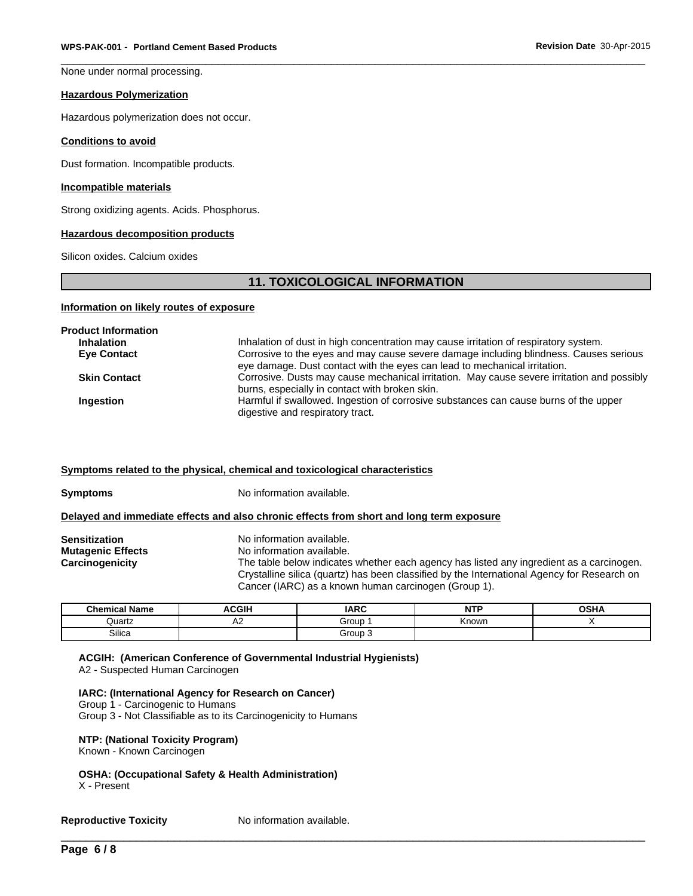None under normal processing.

#### **Hazardous Polymerization**

Hazardous polymerization does not occur.

#### **Conditions to avoid**

Dust formation. Incompatible products.

#### **Incompatible materials**

Strong oxidizing agents. Acids. Phosphorus.

#### **Hazardous decomposition products**

Silicon oxides. Calcium oxides

# **11. TOXICOLOGICAL INFORMATION**

#### **Information on likely routes of exposure**

| <b>Product Information</b> |                                                                                            |
|----------------------------|--------------------------------------------------------------------------------------------|
| <b>Inhalation</b>          | Inhalation of dust in high concentration may cause irritation of respiratory system.       |
| <b>Eye Contact</b>         | Corrosive to the eyes and may cause severe damage including blindness. Causes serious      |
|                            | eye damage. Dust contact with the eyes can lead to mechanical irritation.                  |
| <b>Skin Contact</b>        | Corrosive. Dusts may cause mechanical irritation. May cause severe irritation and possibly |
|                            | burns, especially in contact with broken skin.                                             |
| Ingestion                  | Harmful if swallowed. Ingestion of corrosive substances can cause burns of the upper       |
|                            | digestive and respiratory tract.                                                           |

#### **Symptoms related to the physical, chemical and toxicological characteristics**

| Symptoms | No information available. |
|----------|---------------------------|
|----------|---------------------------|

# **Delayed and immediate effects and also chronic effects from short and long term exposure**

| Sensitization     | No information available.                                                                   |
|-------------------|---------------------------------------------------------------------------------------------|
| Mutaqenic Effects | No information available.                                                                   |
| Carcinogenicity   | The table below indicates whether each agency has listed any ingredient as a carcinogen.    |
|                   | Crystalline silica (quartz) has been classified by the International Agency for Research on |
|                   | Cancer (IARC) as a known human carcinogen (Group 1).                                        |

| <b>Chemical Name</b> | <b>ACGIH</b>             | <b>IARC</b> | ---          | $\sim$ un<br>יוסט |
|----------------------|--------------------------|-------------|--------------|-------------------|
| Quartz               | $\overline{\phantom{a}}$ | Group       | <b>Known</b> |                   |
| $\sim$<br>Silica     |                          | Group<br>.  |              |                   |

**ACGIH: (American Conference of Governmental Industrial Hygienists)** A2 - Suspected Human Carcinogen

#### **IARC: (International Agency for Research on Cancer)**

Group 1 - Carcinogenic to Humans Group 3 - Not Classifiable as to its Carcinogenicity to Humans

#### **NTP: (National Toxicity Program)**

Known - Known Carcinogen

**OSHA: (Occupational Safety & Health Administration)** X - Present

\_\_\_\_\_\_\_\_\_\_\_\_\_\_\_\_\_\_\_\_\_\_\_\_\_\_\_\_\_\_\_\_\_\_\_\_\_\_\_\_\_\_\_\_\_\_\_\_\_\_\_\_\_\_\_\_\_\_\_\_\_\_\_\_\_\_\_\_\_\_\_\_\_\_\_\_\_\_\_\_\_\_\_\_\_\_\_\_\_\_\_\_\_ **Reproductive Toxicity** No information available.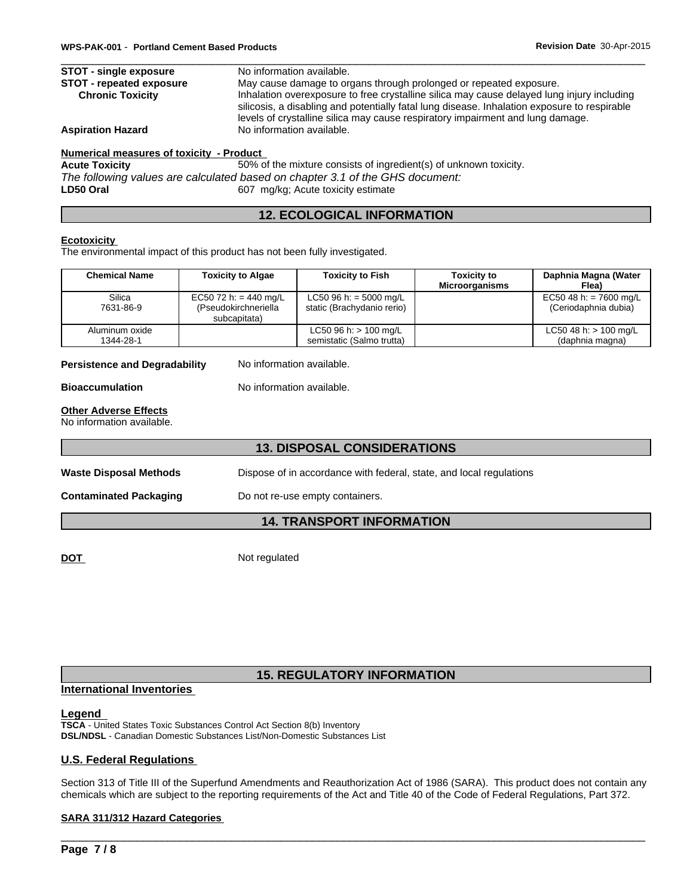| <b>STOT - single exposure</b>   | No information available.                                                                                                                                                                                                                                                    |
|---------------------------------|------------------------------------------------------------------------------------------------------------------------------------------------------------------------------------------------------------------------------------------------------------------------------|
| <b>STOT - repeated exposure</b> | May cause damage to organs through prolonged or repeated exposure.                                                                                                                                                                                                           |
| <b>Chronic Toxicity</b>         | Inhalation overexposure to free crystalline silica may cause delayed lung injury including<br>silicosis, a disabling and potentially fatal lung disease. Inhalation exposure to respirable<br>levels of crystalline silica may cause respiratory impairment and lung damage. |
| <b>Aspiration Hazard</b>        | No information available.                                                                                                                                                                                                                                                    |

# **Numerical measures of toxicity - Product**

**Acute Toxicity** 50% of the mixture consists of ingredient(s) of unknown toxicity. *The following values are calculated based on chapter 3.1 of the GHS document:* LD50 Oral **LD50** Oral **EXECUTE:** 607 mg/kg; Acute toxicity estimate

# **12. ECOLOGICAL INFORMATION**

# **Ecotoxicity**

The environmental impact of this product has not been fully investigated.

| <b>Chemical Name</b>        | <b>Toxicity to Algae</b>                                      | <b>Toxicity to Fish</b>                                | Toxicity to<br><b>Microorganisms</b> | Daphnia Magna (Water<br>Flea)                  |
|-----------------------------|---------------------------------------------------------------|--------------------------------------------------------|--------------------------------------|------------------------------------------------|
| Silica<br>7631-86-9         | EC50 72 h: = 440 mg/L<br>(Pseudokirchneriella<br>subcapitata) | LC50 96 h: = 5000 mg/L<br>static (Brachydanio rerio)   |                                      | EC50 48 h: = 7600 mg/L<br>(Ceriodaphnia dubia) |
| Aluminum oxide<br>1344-28-1 |                                                               | $LC50$ 96 h: $> 100$ mg/L<br>semistatic (Salmo trutta) |                                      | LC50 48 h: $> 100$ mg/L<br>(daphnia magna)     |

**Persistence and Degradability** No information available.

**Bioaccumulation** No information available.

# **Other Adverse Effects**

No information available.

# **13. DISPOSAL CONSIDERATIONS**

Waste Disposal Methods **Dispose of in accordance with federal**, state, and local regulations

**Contaminated Packaging Do not re-use empty containers.** 

# **14. TRANSPORT INFORMATION**

**DOT** Not regulated

# **15. REGULATORY INFORMATION**

# **International Inventories**

# **Legend**

**TSCA** - United States Toxic Substances Control Act Section 8(b) Inventory **DSL/NDSL** - Canadian Domestic Substances List/Non-Domestic Substances List

# **U.S. Federal Regulations**

Section 313 of Title III of the Superfund Amendments and Reauthorization Act of 1986 (SARA). This product does not contain any chemicals which are subject to the reporting requirements of the Act and Title 40 of the Code of Federal Regulations, Part 372.

 $\overline{\phantom{a}}$  ,  $\overline{\phantom{a}}$  ,  $\overline{\phantom{a}}$  ,  $\overline{\phantom{a}}$  ,  $\overline{\phantom{a}}$  ,  $\overline{\phantom{a}}$  ,  $\overline{\phantom{a}}$  ,  $\overline{\phantom{a}}$  ,  $\overline{\phantom{a}}$  ,  $\overline{\phantom{a}}$  ,  $\overline{\phantom{a}}$  ,  $\overline{\phantom{a}}$  ,  $\overline{\phantom{a}}$  ,  $\overline{\phantom{a}}$  ,  $\overline{\phantom{a}}$  ,  $\overline{\phantom{a}}$ 

# **SARA 311/312 Hazard Categories**